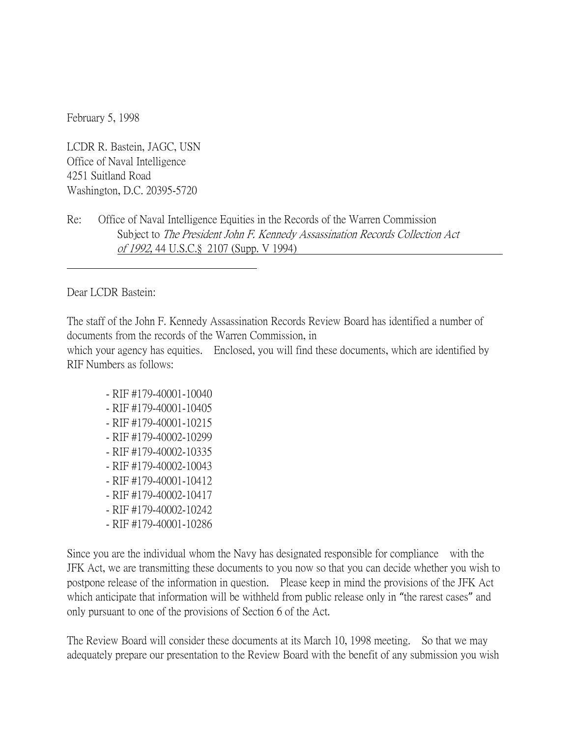February 5, 1998

LCDR R. Bastein, JAGC, USN Office of Naval Intelligence 4251 Suitland Road Washington, D.C. 20395-5720

## Re: Office of Naval Intelligence Equities in the Records of the Warren Commission Subject to The President John F. Kennedy Assassination Records Collection Act of 1992, 44 U.S.C.§ 2107 (Supp. V 1994)

Dear LCDR Bastein:

The staff of the John F. Kennedy Assassination Records Review Board has identified a number of documents from the records of the Warren Commission, in which your agency has equities. Enclosed, you will find these documents, which are identified by RIF Numbers as follows:

 - RIF #179-40001-10040 - RIF #179-40001-10405 - RIF #179-40001-10215 - RIF #179-40002-10299 - RIF #179-40002-10335 - RIF #179-40002-10043 - RIF #179-40001-10412 - RIF #179-40002-10417 - RIF #179-40002-10242 - RIF #179-40001-10286

Since you are the individual whom the Navy has designated responsible for compliance with the JFK Act, we are transmitting these documents to you now so that you can decide whether you wish to postpone release of the information in question. Please keep in mind the provisions of the JFK Act which anticipate that information will be withheld from public release only in "the rarest cases" and only pursuant to one of the provisions of Section 6 of the Act.

The Review Board will consider these documents at its March 10, 1998 meeting. So that we may adequately prepare our presentation to the Review Board with the benefit of any submission you wish